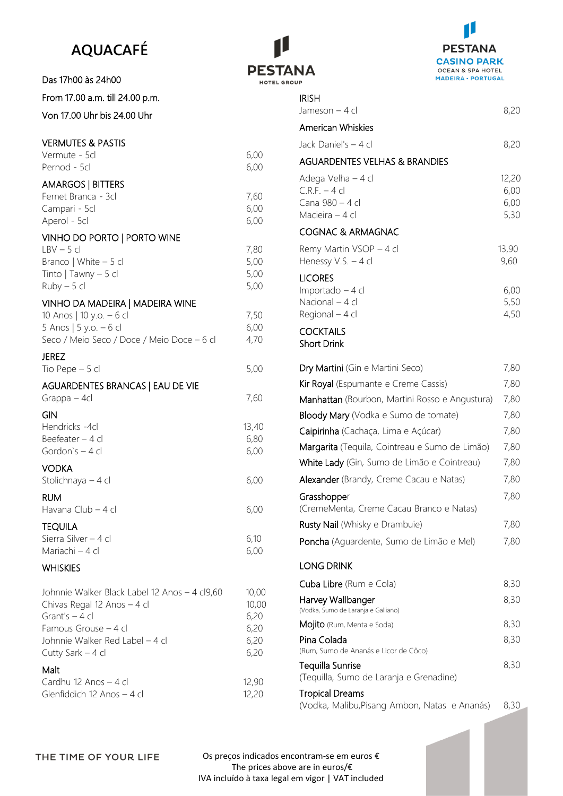# **AQUACAFÉ**

Das 17h00 às 24h00

### From 17.00 a.m. till 24.00 p.m.

Von 17.00 Uhr bis 24.00 Uhr

# VERMUTES & PASTIS

| LI 11 VIO I LJ OK I <i>F</i> 13 I I J<br>Vermute - 5cl<br>Pernod - 5cl                                                              | 6,00<br>6,00                 |
|-------------------------------------------------------------------------------------------------------------------------------------|------------------------------|
| <b>AMARGOS   BITTERS</b><br>Fernet Branca - 3cl<br>Campari - 5cl<br>Aperol - 5cl                                                    | 7,60<br>6,00<br>6,00         |
| VINHO DO PORTO   PORTO WINE<br>$LBV - 5cl$<br>Branco   White - 5 cl<br>Tinto   Tawny $-5$ cl<br>$Ruby - 5 cl$                       | 7,80<br>5,00<br>5,00<br>5,00 |
| VINHO DA MADEIRA   MADEIRA WINE<br>10 Anos   10 y.o. - 6 cl<br>5 Anos   5 y.o. - 6 cl<br>Seco / Meio Seco / Doce / Meio Doce - 6 cl | 7,50<br>6,00<br>4,70         |
| <b>JEREZ</b><br>Tio Pepe $-5$ cl                                                                                                    | 5,00                         |
| AGUARDENTES BRANCAS   EAU DE VIE<br>Grappa – 4cl                                                                                    | 7,60                         |
| GIN<br>Hendricks -4cl<br>Beefeater - 4 cl<br>Gordon's - 4 cl                                                                        | 13,40<br>6,80<br>6,00        |
| <b>VODKA</b><br>Stolichnaya - 4 cl                                                                                                  | 6,00                         |
| <b>RUM</b><br>Havana Club - 4 cl                                                                                                    | 6,00                         |
| <b>TEQUILA</b><br>Sierra Silver - 4 cl<br>Mariachi - 4 cl                                                                           | 6,10<br>6,00                 |
| <b>WHISKIES</b>                                                                                                                     |                              |
| Johnnie Walker Black Label 12 Anos - 4 cl9,60<br>Chivas Regal 12 Anos - 4 cl                                                        | 10,00<br>10,00               |

| Chivas Regal 12 Anos $-4$ cl    | 10.0 <sup>°</sup> |
|---------------------------------|-------------------|
| Grant's $-4$ cl                 | 6,20              |
| Famous Grouse – 4 cl            | 6,20              |
| Johnnie Walker Red Label – 4 cl | 6,20              |
| Cutty Sark $-4$ cl              | 6,20              |
|                                 |                   |

## Malt

| Cardhu 12 Anos $-4$ cl     | 12,90 |
|----------------------------|-------|
| Glenfiddich 12 Anos - 4 cl | 12,20 |





| <b>IRISH</b><br>Jameson – 4 cl                                                                                     | 8,20                          |
|--------------------------------------------------------------------------------------------------------------------|-------------------------------|
| <b>American Whiskies</b>                                                                                           |                               |
| Jack Daniel's - 4 cl                                                                                               | 8,20                          |
| <b>AGUARDENTES VELHAS &amp; BRANDIES</b>                                                                           |                               |
| Adega Velha - 4 cl<br>$C.R.F. - 4 cl$<br>Cana 980 - 4 cl<br>Macieira - 4 cl                                        | 12,20<br>6,00<br>6,00<br>5,30 |
| <b>COGNAC &amp; ARMAGNAC</b>                                                                                       |                               |
| Remy Martin VSOP - 4 cl<br>Henessy V.S. - 4 cl                                                                     | 13,90<br>9,60                 |
| <b>LICORES</b><br>Importado - 4 cl<br>Nacional - 4 cl<br>Regional - 4 cl<br><b>COCKTAILS</b><br><b>Short Drink</b> | 6,00<br>5,50<br>4,50          |
| Dry Martini (Gin e Martini Seco)                                                                                   | 7,80                          |
| Kir Royal (Espumante e Creme Cassis)                                                                               | 7,80                          |
| Manhattan (Bourbon, Martini Rosso e Angustura)                                                                     | 7,80                          |
| Bloody Mary (Vodka e Sumo de tomate)                                                                               | 7,80                          |
| Caipirinha (Cachaça, Lima e Açúcar)                                                                                | 7,80                          |
| Margarita (Tequila, Cointreau e Sumo de Limão)                                                                     | 7,80                          |
| White Lady (Gin, Sumo de Limão e Cointreau)                                                                        | 7,80                          |
| Alexander (Brandy, Creme Cacau e Natas)                                                                            | 7,80                          |
| Grasshopper                                                                                                        | 7,80                          |
| (CremeMenta, Creme Cacau Branco e Natas)                                                                           |                               |
| Rusty Nail (Whisky e Drambuie)                                                                                     | 7,80                          |
| Poncha (Aguardente, Sumo de Limão e Mel)                                                                           | 7,80                          |
| <b>LONG DRINK</b>                                                                                                  |                               |
| Cuba Libre (Rum e Cola)                                                                                            | 8,30                          |
| Harvey Wallbanger<br>(Vodka, Sumo de Laranja e Galliano)                                                           | 8,30                          |
| <b>Mojito</b> (Rum, Menta e Soda)                                                                                  | 8,30                          |
| Pina Colada<br>(Rum, Sumo de Ananás e Licor de Côco)                                                               | 8,30                          |
| Tequilla Sunrise<br>(Tequilla, Sumo de Laranja e Grenadine)                                                        | 8,30                          |
| <b>Tropical Dreams</b>                                                                                             |                               |

(Vodka, Malibu,Pisang Ambon, Natas e Ananás) 8,30

Os preços indicados encontram-se em euros € The prices above are in euros/€ IVA incluído à taxa legal em vigor | VAT included